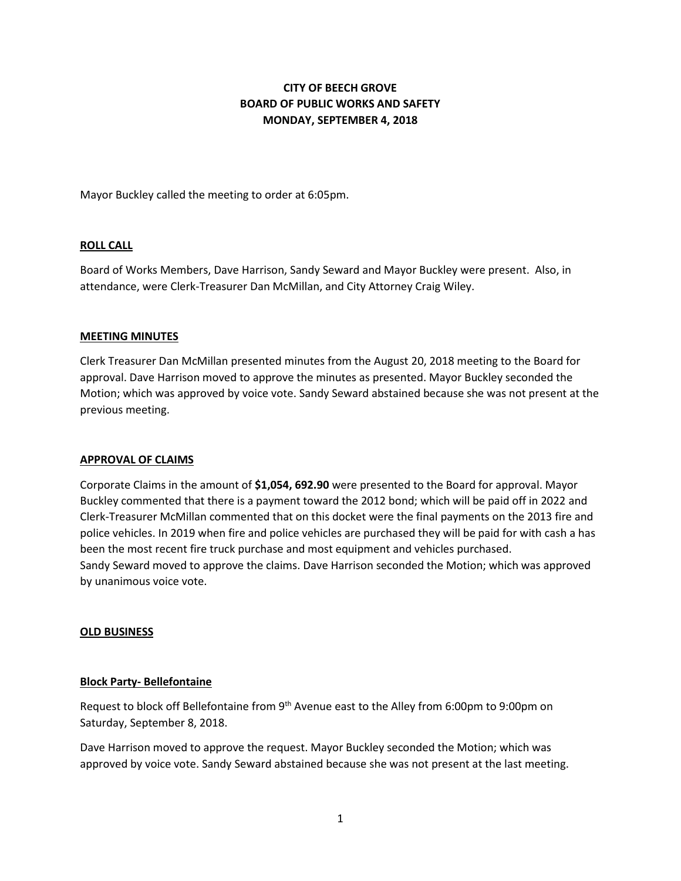# **CITY OF BEECH GROVE BOARD OF PUBLIC WORKS AND SAFETY MONDAY, SEPTEMBER 4, 2018**

Mayor Buckley called the meeting to order at 6:05pm.

## **ROLL CALL**

Board of Works Members, Dave Harrison, Sandy Seward and Mayor Buckley were present. Also, in attendance, were Clerk-Treasurer Dan McMillan, and City Attorney Craig Wiley.

#### **MEETING MINUTES**

Clerk Treasurer Dan McMillan presented minutes from the August 20, 2018 meeting to the Board for approval. Dave Harrison moved to approve the minutes as presented. Mayor Buckley seconded the Motion; which was approved by voice vote. Sandy Seward abstained because she was not present at the previous meeting.

#### **APPROVAL OF CLAIMS**

Corporate Claims in the amount of **\$1,054, 692.90** were presented to the Board for approval. Mayor Buckley commented that there is a payment toward the 2012 bond; which will be paid off in 2022 and Clerk-Treasurer McMillan commented that on this docket were the final payments on the 2013 fire and police vehicles. In 2019 when fire and police vehicles are purchased they will be paid for with cash a has been the most recent fire truck purchase and most equipment and vehicles purchased. Sandy Seward moved to approve the claims. Dave Harrison seconded the Motion; which was approved by unanimous voice vote.

#### **OLD BUSINESS**

# **Block Party- Bellefontaine**

Request to block off Bellefontaine from 9<sup>th</sup> Avenue east to the Alley from 6:00pm to 9:00pm on Saturday, September 8, 2018.

Dave Harrison moved to approve the request. Mayor Buckley seconded the Motion; which was approved by voice vote. Sandy Seward abstained because she was not present at the last meeting.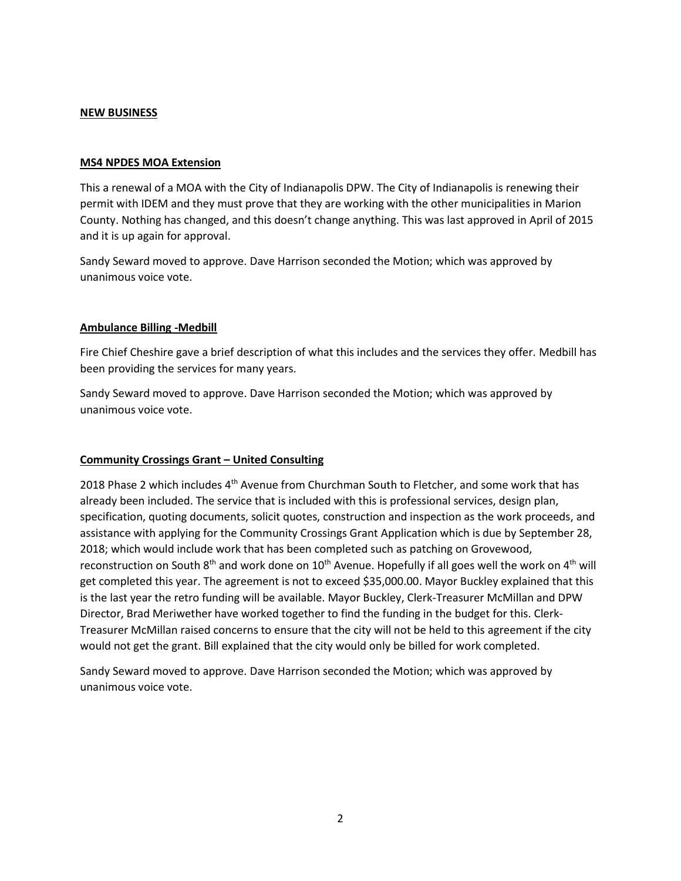## **NEW BUSINESS**

## **MS4 NPDES MOA Extension**

This a renewal of a MOA with the City of Indianapolis DPW. The City of Indianapolis is renewing their permit with IDEM and they must prove that they are working with the other municipalities in Marion County. Nothing has changed, and this doesn't change anything. This was last approved in April of 2015 and it is up again for approval.

Sandy Seward moved to approve. Dave Harrison seconded the Motion; which was approved by unanimous voice vote.

# **Ambulance Billing -Medbill**

Fire Chief Cheshire gave a brief description of what this includes and the services they offer. Medbill has been providing the services for many years.

Sandy Seward moved to approve. Dave Harrison seconded the Motion; which was approved by unanimous voice vote.

# **Community Crossings Grant – United Consulting**

2018 Phase 2 which includes 4<sup>th</sup> Avenue from Churchman South to Fletcher, and some work that has already been included. The service that is included with this is professional services, design plan, specification, quoting documents, solicit quotes, construction and inspection as the work proceeds, and assistance with applying for the Community Crossings Grant Application which is due by September 28, 2018; which would include work that has been completed such as patching on Grovewood, reconstruction on South  $8<sup>th</sup>$  and work done on  $10<sup>th</sup>$  Avenue. Hopefully if all goes well the work on  $4<sup>th</sup>$  will get completed this year. The agreement is not to exceed \$35,000.00. Mayor Buckley explained that this is the last year the retro funding will be available. Mayor Buckley, Clerk-Treasurer McMillan and DPW Director, Brad Meriwether have worked together to find the funding in the budget for this. Clerk-Treasurer McMillan raised concerns to ensure that the city will not be held to this agreement if the city would not get the grant. Bill explained that the city would only be billed for work completed.

Sandy Seward moved to approve. Dave Harrison seconded the Motion; which was approved by unanimous voice vote.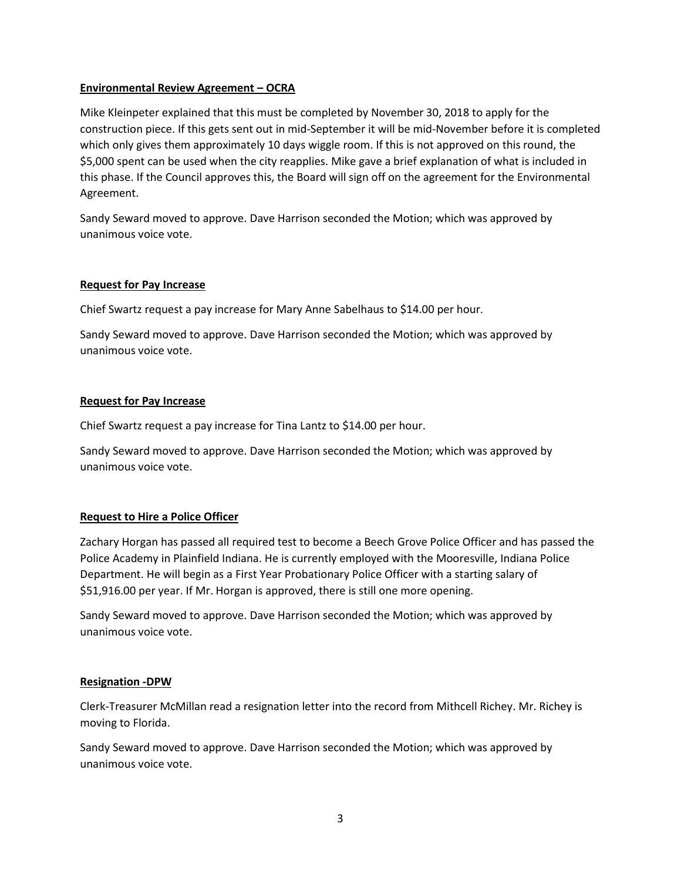# **Environmental Review Agreement – OCRA**

Mike Kleinpeter explained that this must be completed by November 30, 2018 to apply for the construction piece. If this gets sent out in mid-September it will be mid-November before it is completed which only gives them approximately 10 days wiggle room. If this is not approved on this round, the \$5,000 spent can be used when the city reapplies. Mike gave a brief explanation of what is included in this phase. If the Council approves this, the Board will sign off on the agreement for the Environmental Agreement.

Sandy Seward moved to approve. Dave Harrison seconded the Motion; which was approved by unanimous voice vote.

## **Request for Pay Increase**

Chief Swartz request a pay increase for Mary Anne Sabelhaus to \$14.00 per hour.

Sandy Seward moved to approve. Dave Harrison seconded the Motion; which was approved by unanimous voice vote.

## **Request for Pay Increase**

Chief Swartz request a pay increase for Tina Lantz to \$14.00 per hour.

Sandy Seward moved to approve. Dave Harrison seconded the Motion; which was approved by unanimous voice vote.

# **Request to Hire a Police Officer**

Zachary Horgan has passed all required test to become a Beech Grove Police Officer and has passed the Police Academy in Plainfield Indiana. He is currently employed with the Mooresville, Indiana Police Department. He will begin as a First Year Probationary Police Officer with a starting salary of \$51,916.00 per year. If Mr. Horgan is approved, there is still one more opening.

Sandy Seward moved to approve. Dave Harrison seconded the Motion; which was approved by unanimous voice vote.

#### **Resignation -DPW**

Clerk-Treasurer McMillan read a resignation letter into the record from Mithcell Richey. Mr. Richey is moving to Florida.

Sandy Seward moved to approve. Dave Harrison seconded the Motion; which was approved by unanimous voice vote.